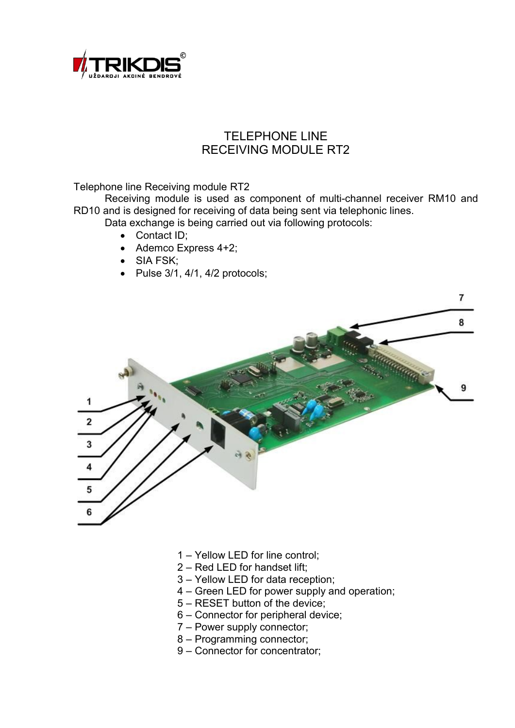

# TELEPHONE LINE RECEIVING MODULE RT2

Telephone line Receiving module RT2

Receiving module is used as component of multi-channel receiver RM10 and RD10 and is designed for receiving of data being sent via telephonic lines.

- Data exchange is being carried out via following protocols:
	- Contact ID;
	- Ademco Express 4+2;
	- SIA FSK;
	- $\bullet$  Pulse 3/1, 4/1, 4/2 protocols;



- 1 Yellow LED for line control;
- 2 Red LED for handset lift;
- 3 Yellow LED for data reception;
- 4 Green LED for power supply and operation;
- 5 RESET button of the device;
- 6 Connector for peripheral device;
- 7 Power supply connector;
- 8 Programming connector;
- 9 Connector for concentrator;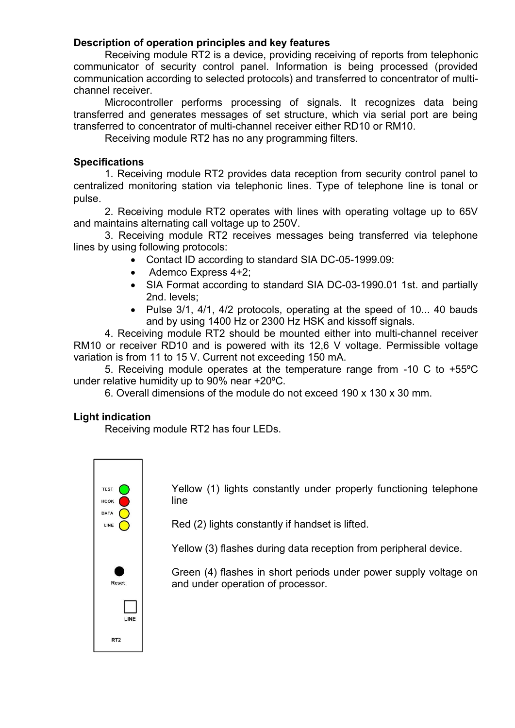# **Description of operation principles and key features**

Receiving module RT2 is a device, providing receiving of reports from telephonic communicator of security control panel. Information is being processed (provided communication according to selected protocols) and transferred to concentrator of multichannel receiver.

Microcontroller performs processing of signals. It recognizes data being transferred and generates messages of set structure, which via serial port are being transferred to concentrator of multi-channel receiver either RD10 or RM10.

Receiving module RT2 has no any programming filters.

# **Specifications**

1. Receiving module RT2 provides data reception from security control panel to centralized monitoring station via telephonic lines. Type of telephone line is tonal or pulse.

2. Receiving module RT2 operates with lines with operating voltage up to 65V and maintains alternating call voltage up to 250V.

3. Receiving module RT2 receives messages being transferred via telephone lines by using following protocols:

- Contact ID according to standard SIA DC-05-1999.09:
- Ademco Express 4+2;
- SIA Format according to standard SIA DC-03-1990.01 1st. and partially 2nd. levels;
- Pulse 3/1, 4/1, 4/2 protocols, operating at the speed of 10... 40 bauds and by using 1400 Hz or 2300 Hz HSK and kissoff signals.

4. Receiving module RT2 should be mounted either into multi-channel receiver RM10 or receiver RD10 and is powered with its 12,6 V voltage. Permissible voltage variation is from 11 to 15 V. Current not exceeding 150 mA.

5. Receiving module operates at the temperature range from -10 C to +55ºC under relative humidity up to 90% near +20ºC.

6. Overall dimensions of the module do not exceed 190 x 130 x 30 mm.

# **Light indication**

Receiving module RT2 has four LEDs.



Yellow (1) lights constantly under properly functioning telephone line

Red (2) lights constantly if handset is lifted.

Yellow (3) flashes during data reception from peripheral device.

Green (4) flashes in short periods under power supply voltage on and under operation of processor.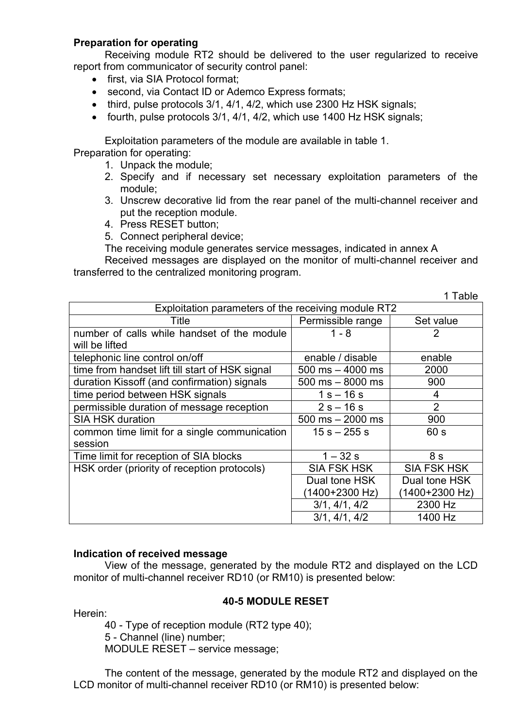# **Preparation for operating**

Receiving module RT2 should be delivered to the user regularized to receive report from communicator of security control panel:

- first, via SIA Protocol format;
- second, via Contact ID or Ademco Express formats;
- third, pulse protocols 3/1, 4/1, 4/2, which use 2300 Hz HSK signals;
- fourth, pulse protocols 3/1, 4/1, 4/2, which use 1400 Hz HSK signals;

Exploitation parameters of the module are available in table 1. Preparation for operating:

- 1. Unpack the module;
- 2. Specify and if necessary set necessary exploitation parameters of the module;
- 3. Unscrew decorative lid from the rear panel of the multi-channel receiver and put the reception module.

 $1$  Table

- 4. Press RESET button;
- 5. Connect peripheral device;

The receiving module generates service messages, indicated in annex A

Received messages are displayed on the monitor of multi-channel receiver and transferred to the centralized monitoring program.

|                                                     |                      | סועם ו             |  |
|-----------------------------------------------------|----------------------|--------------------|--|
| Exploitation parameters of the receiving module RT2 |                      |                    |  |
| Title                                               | Permissible range    | Set value          |  |
| number of calls while handset of the module         | $1 - 8$              | 2                  |  |
| will be lifted                                      |                      |                    |  |
| telephonic line control on/off                      | enable / disable     | enable             |  |
| time from handset lift till start of HSK signal     | $500$ ms $-$ 4000 ms | 2000               |  |
| duration Kissoff (and confirmation) signals         | $500$ ms $-8000$ ms  | 900                |  |
| time period between HSK signals                     | $1 s - 16 s$         | 4                  |  |
| permissible duration of message reception           | $2s - 16s$           | $\overline{2}$     |  |
| <b>SIA HSK duration</b>                             | $500$ ms $- 2000$ ms | 900                |  |
| common time limit for a single communication        | $15 s - 255 s$       | 60 s               |  |
| session                                             |                      |                    |  |
| Time limit for reception of SIA blocks              | $1 - 32s$            | 8s                 |  |
| HSK order (priority of reception protocols)         | <b>SIA FSK HSK</b>   | <b>SIA FSK HSK</b> |  |
|                                                     | Dual tone HSK        | Dual tone HSK      |  |
|                                                     | (1400+2300 Hz)       | (1400+2300 Hz)     |  |
|                                                     | 3/1, 4/1, 4/2        | 2300 Hz            |  |
|                                                     | 3/1, 4/1, 4/2        | 1400 Hz            |  |

#### **Indication of received message**

View of the message, generated by the module RT2 and displayed on the LCD monitor of multi-channel receiver RD10 (or RM10) is presented below:

#### **40-5 MODULE RESET**

Herein:

40 - Type of reception module (RT2 type 40); 5 - Channel (line) number; MODULE RESET – service message;

The content of the message, generated by the module RT2 and displayed on the LCD monitor of multi-channel receiver RD10 (or RM10) is presented below: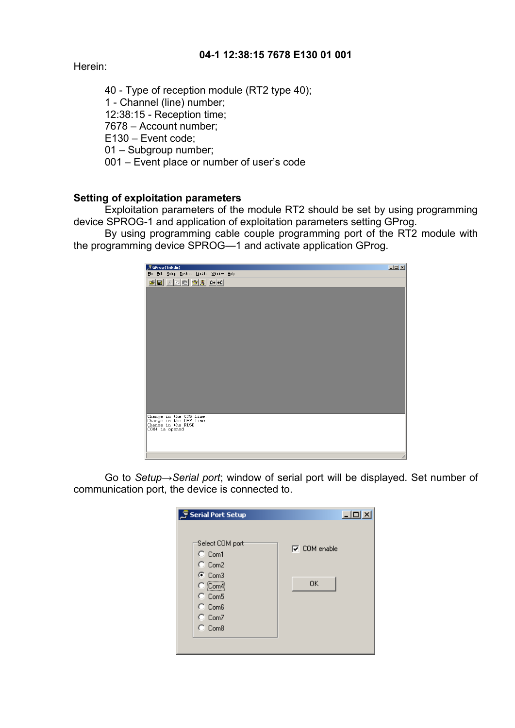# **04-1 12:38:15 7678 E130 01 001**

Herein:

40 - Type of reception module (RT2 type 40); 1 - Channel (line) number; 12:38:15 - Reception time; 7678 – Account number; E130 – Event code; 01 – Subgroup number; 001 – Event place or number of user's code

# **Setting of exploitation parameters**

Exploitation parameters of the module RT2 should be set by using programming device SPROG-1 and application of exploitation parameters setting GProg.

By using programming cable couple programming port of the RT2 module with the programming device SPROG—1 and activate application GProg.



Go to *Setup→Serial port*; window of serial port will be displayed. Set number of communication port, the device is connected to.

| <i>ु</i> Serial Port Setup                                                                                                                                | $-10x$                    |
|-----------------------------------------------------------------------------------------------------------------------------------------------------------|---------------------------|
| Select COM port<br>$C_{\text{Com1}}$<br>$C_{CD}$ Com2<br>$\odot$ Com3<br>$\bigcirc$ (Com4)<br>$C_{CD}$ Com5<br>$C$ Com6<br>$C_{CD}$ Com7<br>$C_{CD}$ Com8 | $\nabla$ COM enable<br>0K |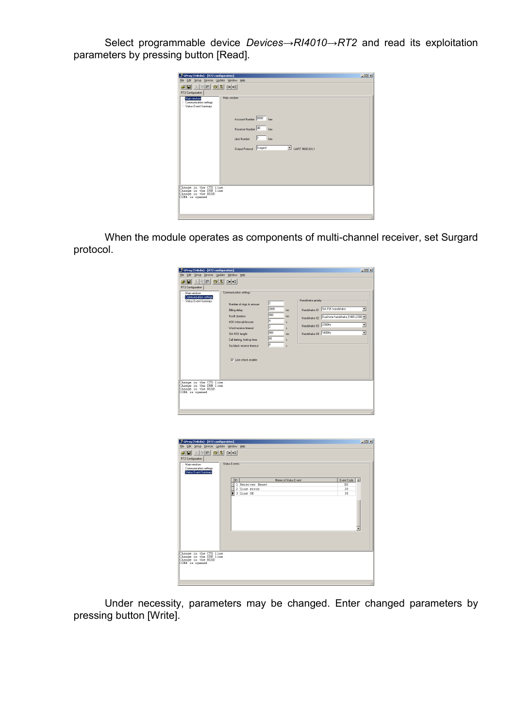Select programmable device *Devices→RI4010→RT2* and read its exploitation parameters by pressing button [Read].

|                                                                                                                                                                                                                                                                                                                      | $  D $ $\times$ |
|----------------------------------------------------------------------------------------------------------------------------------------------------------------------------------------------------------------------------------------------------------------------------------------------------------------------|-----------------|
| File Edit Setup Devices Update Window Help                                                                                                                                                                                                                                                                           |                 |
| GProg (Trikdis) - [RT2 configuration]<br>GB XDB 63 0-0<br>RT2 Configuration<br>Main window<br>Man window<br>- Communication settings<br>- Status Event Summary<br>Account Number 0000 hex<br>Receiver Number 40 hex<br>Line Number 1<br>hex<br>Output Protocol Surgard<br>UART 9600,8,N,1<br>Change in the CTS line. |                 |
| Change in the DSR line<br>Change in the RLSD<br>COM4 is opened                                                                                                                                                                                                                                                       |                 |

When the module operates as components of multi-channel receiver, set Surgard protocol.

| GProg (Trikdis) - [RT2 configuration]<br>Edit Setup Devices Update Window Help<br>File<br>8 R B 8 3 0 0<br>e di<br>RT2 Configuration<br>Main window<br>Communication settings<br>Status Event Summarv | Communication settings:<br>Number of rings to answer<br>Billing delay<br>Kisoff duration<br>HSK Interval/Answer<br>Word receive timeout<br>SIA HSK lenght<br>Call limiting, hold up time<br>Sia block receive timeout<br>V Line check enable | $\sqrt{2}$<br>2000<br>ms<br>900<br>ms<br>4<br>l2<br>900<br>ms.<br>lю<br>$\hat{\mathbf{x}}$<br> 8<br>$\lambda$ | Handshake priority:<br>SIA FSK handshake<br>Handshake 01<br>Handshake 02   Dual tone handshake (1400+2300 -<br>Handshake 03 2300Hz<br>Handshake 04 1400Hz | $   \times$<br>$\overline{\phantom{a}}$<br>$\overline{ }$<br>$\overline{\phantom{0}}$ |
|-------------------------------------------------------------------------------------------------------------------------------------------------------------------------------------------------------|----------------------------------------------------------------------------------------------------------------------------------------------------------------------------------------------------------------------------------------------|---------------------------------------------------------------------------------------------------------------|-----------------------------------------------------------------------------------------------------------------------------------------------------------|---------------------------------------------------------------------------------------|
| Change in the CTS line.<br>Change in the DSR line<br>Change in the RLSD<br>COM4 is opened                                                                                                             |                                                                                                                                                                                                                                              |                                                                                                               |                                                                                                                                                           |                                                                                       |

| File Edit Setup Devices Update Window Help<br>28 X 28 28 20 20<br>RT2 Configuration<br>Status Events<br>Main window<br>Communication settings<br>Status Event Summary<br>Event Code<br>ID<br>Name of Status Event<br>1 Receiver Reset<br>E0<br>20 <sub>2</sub><br>2 Line error<br>3 Line OK<br>30 | $-121 \times$ |
|---------------------------------------------------------------------------------------------------------------------------------------------------------------------------------------------------------------------------------------------------------------------------------------------------|---------------|
|                                                                                                                                                                                                                                                                                                   |               |
|                                                                                                                                                                                                                                                                                                   |               |
|                                                                                                                                                                                                                                                                                                   |               |
|                                                                                                                                                                                                                                                                                                   |               |
|                                                                                                                                                                                                                                                                                                   |               |
|                                                                                                                                                                                                                                                                                                   |               |
|                                                                                                                                                                                                                                                                                                   |               |
| Change in the CTS line.                                                                                                                                                                                                                                                                           |               |
| Change in the DSR line<br>Change in the RLSD<br>COM4 is opened                                                                                                                                                                                                                                    |               |

Under necessity, parameters may be changed. Enter changed parameters by pressing button [Write].